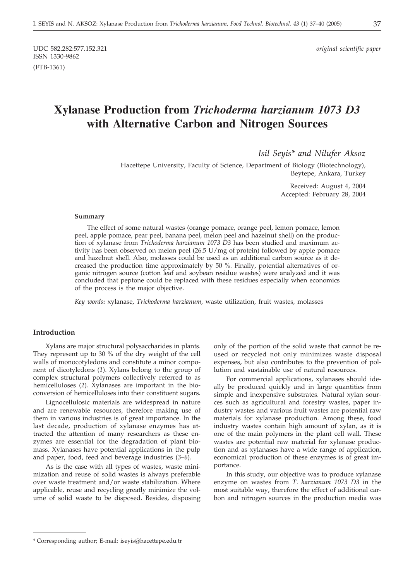# **Xylanase Production from** *Trichoderma harzianum 1073 D3* **with Alternative Carbon and Nitrogen Sources**

*Isil Seyis\* and Nilufer Aksoz*

Hacettepe University, Faculty of Science, Department of Biology (Biotechnology), Beytepe, Ankara, Turkey

> Received: August 4, 2004 Accepted: February 28, 2004

#### **Summary**

The effect of some natural wastes (orange pomace, orange peel, lemon pomace, lemon peel, apple pomace, pear peel, banana peel, melon peel and hazelnut shell) on the production of xylanase from *Trichoderma harzianum 1073 D3* has been studied and maximum activity has been observed on melon peel (26.5 U/mg of protein) followed by apple pomace and hazelnut shell. Also, molasses could be used as an additional carbon source as it decreased the production time approximately by 50 %. Finally, potential alternatives of organic nitrogen source (cotton leaf and soybean residue wastes) were analyzed and it was concluded that peptone could be replaced with these residues especially when economics of the process is the major objective.

*Key words***:** xylanase, *Trichoderma harzianum*, waste utilization, fruit wastes, molasses

#### **Introduction**

Xylans are major structural polysaccharides in plants. They represent up to 30 % of the dry weight of the cell walls of monocotyledons and constitute a minor component of dicotyledons (*1*). Xylans belong to the group of complex structural polymers collectively referred to as hemicelluloses (*2*). Xylanases are important in the bioconversion of hemicelluloses into their constituent sugars.

Lignocellulosic materials are widespread in nature and are renewable resources, therefore making use of them in various industries is of great importance. In the last decade, production of xylanase enzymes has attracted the attention of many researchers as these enzymes are essential for the degradation of plant biomass. Xylanases have potential applications in the pulp and paper, food, feed and beverage industries (*3–6*).

As is the case with all types of wastes, waste minimization and reuse of solid wastes is always preferable over waste treatment and/or waste stabilization. Where applicable, reuse and recycling greatly minimize the volume of solid waste to be disposed. Besides, disposing only of the portion of the solid waste that cannot be reused or recycled not only minimizes waste disposal expenses, but also contributes to the prevention of pollution and sustainable use of natural resources.

For commercial applications, xylanases should ideally be produced quickly and in large quantities from simple and inexpensive substrates. Natural xylan sources such as agricultural and forestry wastes, paper industry wastes and various fruit wastes are potential raw materials for xylanase production. Among these, food industry wastes contain high amount of xylan, as it is one of the main polymers in the plant cell wall. These wastes are potential raw material for xylanase production and as xylanases have a wide range of application, economical production of these enzymes is of great importance.

In this study, our objective was to produce xylanase enzyme on wastes from *T*. *harzianum 1073 D3* in the most suitable way, therefore the effect of additional carbon and nitrogen sources in the production media was

<sup>\*</sup> Corresponding author; E-mail: iseyis*@*hacettepe.edu.tr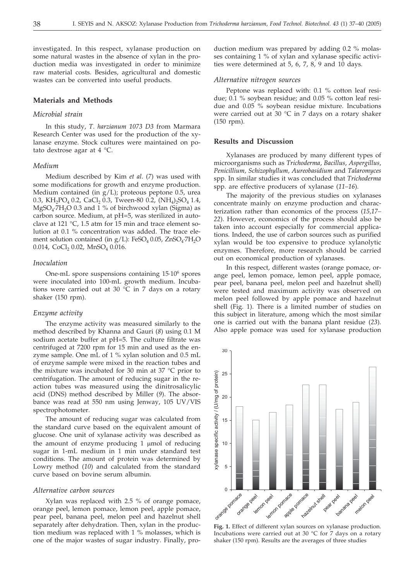investigated. In this respect, xylanase production on some natural wastes in the absence of xylan in the production media was investigated in order to minimize raw material costs. Besides, agricultural and domestic wastes can be converted into useful products.

#### **Materials and Methods**

## *Microbial strain*

In this study, *T*. *harzianum 1073 D3* from Marmara Research Center was used for the production of the xylanase enzyme. Stock cultures were maintained on potato dextrose agar at 4 °C.

#### *Medium*

Medium described by Kim *et al*. (*7*) was used with some modifications for growth and enzyme production. Medium contained (in g/L); proteous peptone 0.5, urea 0.3, KH<sub>2</sub>PO<sub>4</sub> 0.2, CaCl<sub>2</sub> 0.3, Tween-80 0.2, (NH<sub>4</sub>)<sub>2</sub>SO<sub>4</sub> 1.4,  $MgSO<sub>4</sub>·7H<sub>2</sub>O$  0.3 and 1 % of birchwood xylan (Sigma) as carbon source. Medium, at pH=5, was sterilized in autoclave at 121 °C, 1.5 atm for 15 min and trace element solution at 0.1 % concentration was added. The trace element solution contained (in  $g/L$ ): FeSO<sub>4</sub> 0.05, ZnSO<sub>4</sub>·7H<sub>2</sub>O 0.014,  $CoCl<sub>2</sub>$  0.02, MnSO<sub>4</sub> 0.016.

#### *Inoculation*

One-mL spore suspensions containing 15·106 spores were inoculated into 100-mL growth medium. Incubations were carried out at 30 °C in 7 days on a rotary shaker (150 rpm).

#### *Enzyme activity*

The enzyme activity was measured similarly to the method described by Khanna and Gauri (*8*) using 0.1 M sodium acetate buffer at pH=5. The culture filtrate was centrifuged at 7200 rpm for 15 min and used as the enzyme sample. One mL of 1 % xylan solution and 0.5 mL of enzyme sample were mixed in the reaction tubes and the mixture was incubated for 30 min at 37 °C prior to centrifugation. The amount of reducing sugar in the reaction tubes was measured using the dinitrosalicylic acid (DNS) method described by Miller (*9*). The absorbance was read at 550 nm using Jenway, 105 UV/VIS spectrophotometer.

The amount of reducing sugar was calculated from the standard curve based on the equivalent amount of glucose. One unit of xylanase activity was described as the amount of enzyme producing  $1 \mu$ mol of reducing sugar in 1-mL medium in 1 min under standard test conditions. The amount of protein was determined by Lowry method (*10*) and calculated from the standard curve based on bovine serum albumin.

#### *Alternative carbon sources*

Xylan was replaced with 2.5 % of orange pomace, orange peel, lemon pomace, lemon peel, apple pomace, pear peel, banana peel, melon peel and hazelnut shell separately after dehydration. Then, xylan in the production medium was replaced with 1 % molasses, which is one of the major wastes of sugar industry. Finally, production medium was prepared by adding 0.2 % molasses containing 1 % of xylan and xylanase specific activities were determined at 5, 6, 7, 8, 9 and 10 days.

#### *Alternative nitrogen sources*

Peptone was replaced with: 0.1 % cotton leaf residue; 0.1 % soybean residue; and 0.05 % cotton leaf residue and 0.05 % soybean residue mixture. Incubations were carried out at 30 °C in 7 days on a rotary shaker (150 rpm).

#### **Results and Discussion**

Xylanases are produced by many different types of microorganisms such as *Trichoderma*, *Bacillus*, *Aspergillus*, *Penicillium, Schizophyllum, Aureobasidium* and *Talaromyces* spp. In similar studies it was concluded that *Trichoderma* spp. are effective producers of xylanase (*11–16*).

The majority of the previous studies on xylanases concentrate mainly on enzyme production and characterization rather than economics of the process (*15,17– 22*). However, economics of the process should also be taken into account especially for commercial applications. Indeed, the use of carbon sources such as purified xylan would be too expensive to produce xylanolytic enzymes. Therefore, more research should be carried out on economical production of xylanases.

In this respect, different wastes (orange pomace, orange peel, lemon pomace, lemon peel, apple pomace, pear peel, banana peel, melon peel and hazelnut shell) were tested and maximum activity was observed on melon peel followed by apple pomace and hazelnut shell (Fig. 1). There is a limited number of studies on this subject in literature, among which the most similar one is carried out with the banana plant residue (*23*). Also apple pomace was used for xylanase production



**Fig. 1.** Effect of different xylan sources on xylanase production. Incubations were carried out at 30 °C for 7 days on a rotary shaker (150 rpm). Results are the averages of three studies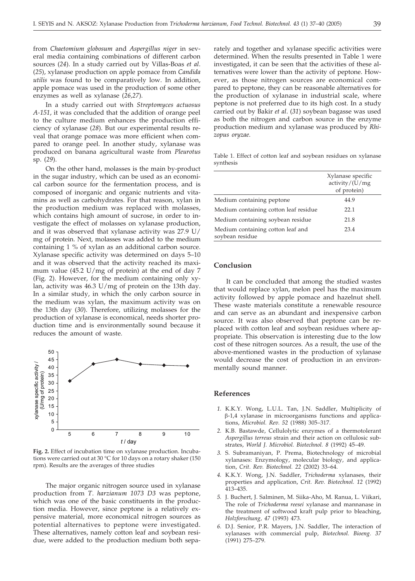from *Chaetomium globosum* and *Aspergillus niger* in several media containing combinations of different carbon sources (*24*). In a study carried out by Villas-Boas *et al*. (*25*), xylanase production on apple pomace from *Candida utilis* was found to be comparatively low. In addition, apple pomace was used in the production of some other enzymes as well as xylanase (*26,27*).

In a study carried out with *Streptomyces actuosus A-151*, it was concluded that the addition of orange peel to the culture medium enhances the production efficiency of xylanase (*28*). But our experimental results reveal that orange pomace was more efficient when compared to orange peel. In another study, xylanase was produced on banana agricultural waste from *Pleurotus* sp. (*29*).

On the other hand, molasses is the main by-product in the sugar industry, which can be used as an economical carbon source for the fermentation process, and is composed of inorganic and organic nutrients and vitamins as well as carbohydrates. For that reason, xylan in the production medium was replaced with molasses, which contains high amount of sucrose, in order to investigate the effect of molasses on xylanase production, and it was observed that xylanase activity was 27.9 U/ mg of protein. Next, molasses was added to the medium containing 1 % of xylan as an additional carbon source. Xylanase specific activity was determined on days 5–10 and it was observed that the activity reached its maximum value (45.2 U/mg of protein) at the end of day 7 (Fig. 2). However, for the medium containing only xylan, activity was 46.3 U/mg of protein on the 13th day. In a similar study, in which the only carbon source in the medium was xylan, the maximum activity was on the 13th day (*30*). Therefore, utilizing molasses for the production of xylanase is economical, needs shorter production time and is environmentally sound because it reduces the amount of waste.



**Fig. 2.** Effect of incubation time on xylanase production. Incubations were carried out at 30 °C for 10 days on a rotary shaker (150 rpm). Results are the averages of three studies

The major organic nitrogen source used in xylanase production from *T*. *harzianum 1073 D3* was peptone, which was one of the basic constituents in the production media. However, since peptone is a relatively expensive material, more economical nitrogen sources as potential alternatives to peptone were investigated. These alternatives, namely cotton leaf and soybean residue, were added to the production medium both separately and together and xylanase specific activities were determined. When the results presented in Table 1 were investigated, it can be seen that the activities of these alternatives were lower than the activity of peptone. However, as those nitrogen sources are economical compared to peptone, they can be reasonable alternatives for the production of xylanase in industrial scale, where peptone is not preferred due to its high cost. In a study carried out by Bakir *et al*. (*31*) soybean bagasse was used as both the nitrogen and carbon source in the enzyme production medium and xylanase was produced by *Rhizopus oryzae*.

Table 1. Effect of cotton leaf and soybean residues on xylanase synthesis

|                                                      | Xylanase specific<br>activity/(U/mg)<br>of protein) |
|------------------------------------------------------|-----------------------------------------------------|
| Medium containing peptone                            | 44.9                                                |
| Medium containing cotton leaf residue                | 22.1                                                |
| Medium containing soybean residue                    | 21.8                                                |
| Medium containing cotton leaf and<br>soybean residue | 23.4                                                |

### **Conclusion**

It can be concluded that among the studied wastes that would replace xylan, melon peel has the maximum activity followed by apple pomace and hazelnut shell. These waste materials constitute a renewable resource and can serve as an abundant and inexpensive carbon source. It was also observed that peptone can be replaced with cotton leaf and soybean residues where appropriate. This observation is interesting due to the low cost of these nitrogen sources. As a result, the use of the above-mentioned wastes in the production of xylanase would decrease the cost of production in an environmentally sound manner.

#### **References**

- *1.* K.K.Y. Wong, L.U.L. Tan, J.N. Saddler, Multiplicity of β-1,4 xylanase in microorganisms functions and applications, *Microbiol. Rev. 52* (1988) 305–317.
- *2.* K.B. Bastawde, Cellulolytic enzymes of a thermotolerant *Aspergillus terreus* strain and their action on cellulosic substrates, *World J. Microbiol. Biotechnol. 8* (1992) 45–49.
- *3.* S. Subramaniyan, P. Prema, Biotechnology of microbial xylanases: Enzymology, molecular biology, and application, *Crit. Rev. Biotechnol. 22* (2002) 33–64.
- *4.* K.K.Y. Wong, J.N. Saddler, *Trichoderma* xylanases, their properties and application, *Crit. Rev. Biotechnol. 12* (1992) 413–435.
- *5.* J. Buchert, J. Salminen, M. Siika-Aho, M. Ranua, L. Viikari, The role of *Trichoderma reesei* xylanase and mannanase in the treatment of softwood kraft pulp prior to bleaching, *Holzforschung, 47* (1993) 473.
- *6.* D.J. Senior, P.R. Mayers, J.N. Saddler, The interaction of xylanases with commercial pulp, *Biotechnol. Bioeng. 37* (1991) 275–279.